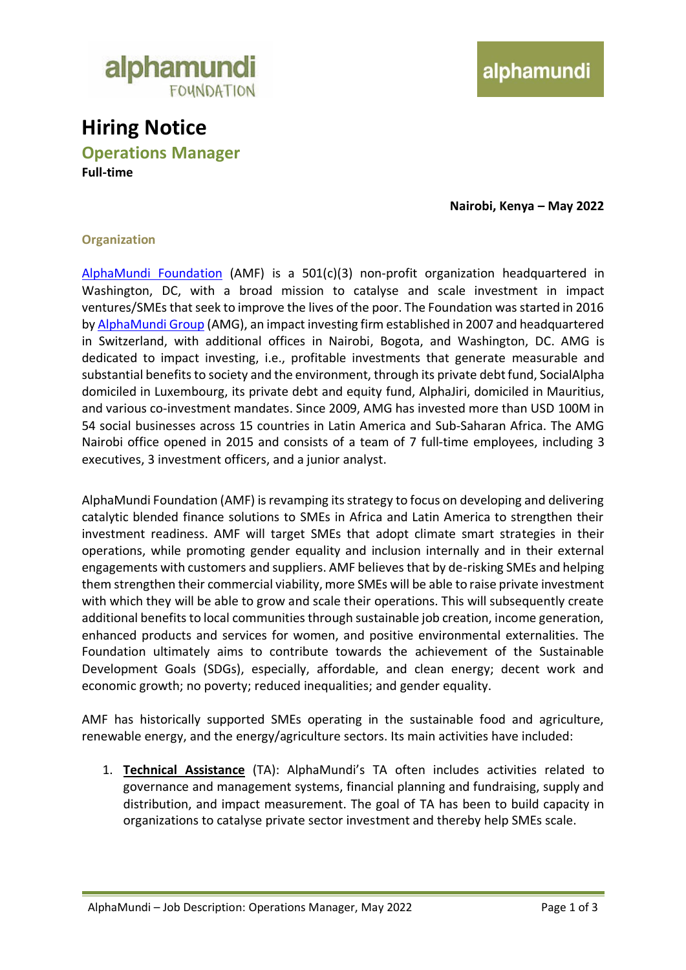

# **Hiring Notice**

**Operations Manager Full-time**

**Nairobi, Kenya – May 2022**

#### **Organization**

[AlphaMundi Foundation](http://www.alphamundifoundation.org/) (AMF) is a 501(c)(3) non-profit organization headquartered in Washington, DC, with a broad mission to catalyse and scale investment in impact ventures/SMEs that seek to improve the lives of the poor. The Foundation was started in 2016 by [AlphaMundi Group](http://www.alphamundi.ch/) (AMG), an impact investing firm established in 2007 and headquartered in Switzerland, with additional offices in Nairobi, Bogota, and Washington, DC. AMG is dedicated to impact investing, i.e., profitable investments that generate measurable and substantial benefits to society and the environment, through its private debt fund, SocialAlpha domiciled in Luxembourg, its private debt and equity fund, AlphaJiri, domiciled in Mauritius, and various co-investment mandates. Since 2009, AMG has invested more than USD 100M in 54 social businesses across 15 countries in Latin America and Sub-Saharan Africa. The AMG Nairobi office opened in 2015 and consists of a team of 7 full-time employees, including 3 executives, 3 investment officers, and a junior analyst.

AlphaMundi Foundation (AMF) is revamping its strategy to focus on developing and delivering catalytic blended finance solutions to SMEs in Africa and Latin America to strengthen their investment readiness. AMF will target SMEs that adopt climate smart strategies in their operations, while promoting gender equality and inclusion internally and in their external engagements with customers and suppliers. AMF believes that by de-risking SMEs and helping them strengthen their commercial viability, more SMEs will be able to raise private investment with which they will be able to grow and scale their operations. This will subsequently create additional benefits to local communities through sustainable job creation, income generation, enhanced products and services for women, and positive environmental externalities. The Foundation ultimately aims to contribute towards the achievement of the Sustainable Development Goals (SDGs), especially, affordable, and clean energy; decent work and economic growth; no poverty; reduced inequalities; and gender equality.

AMF has historically supported SMEs operating in the sustainable food and agriculture, renewable energy, and the energy/agriculture sectors. Its main activities have included:

1. **Technical Assistance** (TA): AlphaMundi's TA often includes activities related to governance and management systems, financial planning and fundraising, supply and distribution, and impact measurement. The goal of TA has been to build capacity in organizations to catalyse private sector investment and thereby help SMEs scale.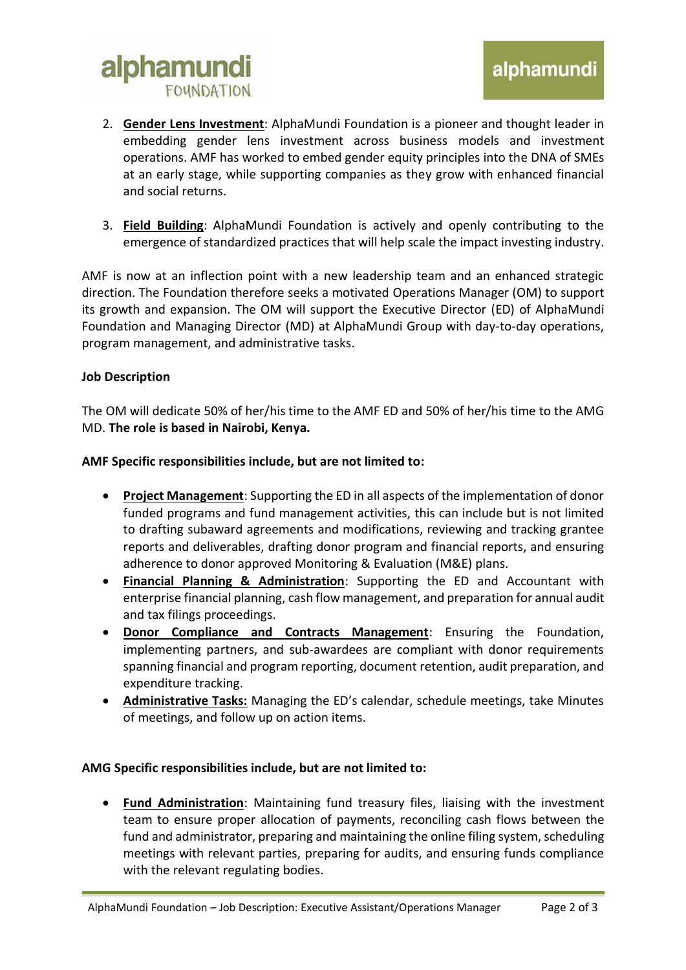## alphamundi **FOUNDATION**

- 2. **Gender Lens Investment**: AlphaMundi Foundation is a pioneer and thought leader in embedding gender lens investment across business models and investment operations. AMF has worked to embed gender equity principles into the DNA of SMEs at an early stage, while supporting companies as they grow with enhanced financial and social returns.
- 3. **Field Building**: AlphaMundi Foundation is actively and openly contributing to the emergence of standardized practices that will help scale the impact investing industry.

AMF is now at an inflection point with a new leadership team and an enhanced strategic direction. The Foundation therefore seeks a motivated Operations Manager (OM) to support its growth and expansion. The OM will support the Executive Director (ED) of AlphaMundi Foundation and Managing Director (MD) at AlphaMundi Group with day-to-day operations, program management, and administrative tasks.

#### **Job Description**

The OM will dedicate 50% of her/his time to the AMF ED and 50% of her/his time to the AMG MD. **The role is based in Nairobi, Kenya.** 

#### **AMF Specific responsibilities include, but are not limited to:**

- **Project Management**: Supporting the ED in all aspects of the implementation of donor funded programs and fund management activities, this can include but is not limited to drafting subaward agreements and modifications, reviewing and tracking grantee reports and deliverables, drafting donor program and financial reports, and ensuring adherence to donor approved Monitoring & Evaluation (M&E) plans.
- **Financial Planning & Administration**: Supporting the ED and Accountant with enterprise financial planning, cash flow management, and preparation for annual audit and tax filings proceedings.
- **Donor Compliance and Contracts Management**: Ensuring the Foundation, implementing partners, and sub-awardees are compliant with donor requirements spanning financial and program reporting, document retention, audit preparation, and expenditure tracking.
- **Administrative Tasks:** Managing the ED's calendar, schedule meetings, take Minutes of meetings, and follow up on action items.

### **AMG Specific responsibilities include, but are not limited to:**

• **Fund Administration**: Maintaining fund treasury files, liaising with the investment team to ensure proper allocation of payments, reconciling cash flows between the fund and administrator, preparing and maintaining the online filing system, scheduling meetings with relevant parties, preparing for audits, and ensuring funds compliance with the relevant regulating bodies.